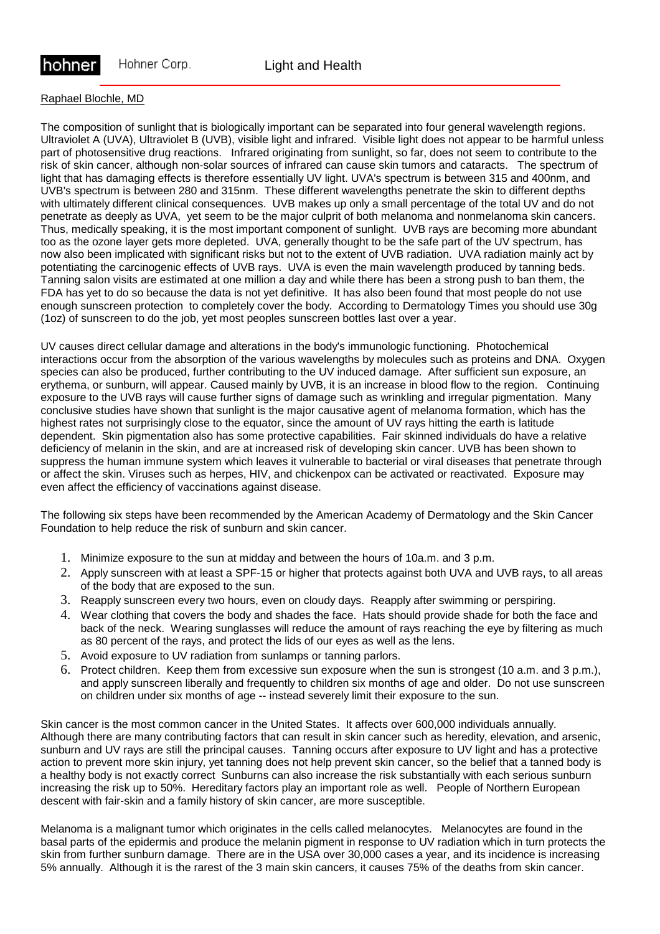

### Raphael Blochle, MD

The composition of sunlight that is biologically important can be separated into four general wavelength regions. Ultraviolet A (UVA), Ultraviolet B (UVB), visible light and infrared. Visible light does not appear to be harmful unless part of photosensitive drug reactions. Infrared originating from sunlight, so far, does not seem to contribute to the risk of skin cancer, although non-solar sources of infrared can cause skin tumors and cataracts. The spectrum of light that has damaging effects is therefore essentially UV light. UVA's spectrum is between 315 and 400nm, and UVB's spectrum is between 280 and 315nm. These different wavelengths penetrate the skin to different depths with ultimately different clinical consequences. UVB makes up only a small percentage of the total UV and do not penetrate as deeply as UVA, yet seem to be the major culprit of both melanoma and nonmelanoma skin cancers. Thus, medically speaking, it is the most important component of sunlight. UVB rays are becoming more abundant too as the ozone layer gets more depleted. UVA, generally thought to be the safe part of the UV spectrum, has now also been implicated with significant risks but not to the extent of UVB radiation. UVA radiation mainly act by potentiating the carcinogenic effects of UVB rays. UVA is even the main wavelength produced by tanning beds. Tanning salon visits are estimated at one million a day and while there has been a strong push to ban them, the FDA has yet to do so because the data is not yet definitive. It has also been found that most people do not use enough sunscreen protection to completely cover the body. According to Dermatology Times you should use 30g (1oz) of sunscreen to do the job, yet most peoples sunscreen bottles last over a year.

UV causes direct cellular damage and alterations in the body's immunologic functioning. Photochemical interactions occur from the absorption of the various wavelengths by molecules such as proteins and DNA. Oxygen species can also be produced, further contributing to the UV induced damage. After sufficient sun exposure, an erythema, or sunburn, will appear. Caused mainly by UVB, it is an increase in blood flow to the region. Continuing exposure to the UVB rays will cause further signs of damage such as wrinkling and irregular pigmentation. Many conclusive studies have shown that sunlight is the major causative agent of melanoma formation, which has the highest rates not surprisingly close to the equator, since the amount of UV rays hitting the earth is latitude dependent. Skin pigmentation also has some protective capabilities. Fair skinned individuals do have a relative deficiency of melanin in the skin, and are at increased risk of developing skin cancer. UVB has been shown to suppress the human immune system which leaves it vulnerable to bacterial or viral diseases that penetrate through or affect the skin. Viruses such as herpes, HIV, and chickenpox can be activated or reactivated. Exposure may even affect the efficiency of vaccinations against disease.

The following six steps have been recommended by the American Academy of Dermatology and the Skin Cancer Foundation to help reduce the risk of sunburn and skin cancer.

- 1. Minimize exposure to the sun at midday and between the hours of 10a.m. and 3 p.m.
- 2. Apply sunscreen with at least a SPF-15 or higher that protects against both UVA and UVB rays, to all areas of the body that are exposed to the sun.
- 3. Reapply sunscreen every two hours, even on cloudy days. Reapply after swimming or perspiring.
- 4. Wear clothing that covers the body and shades the face. Hats should provide shade for both the face and back of the neck. Wearing sunglasses will reduce the amount of rays reaching the eye by filtering as much as 80 percent of the rays, and protect the lids of our eyes as well as the lens.
- 5. Avoid exposure to UV radiation from sunlamps or tanning parlors.
- 6. Protect children. Keep them from excessive sun exposure when the sun is strongest (10 a.m. and 3 p.m.), and apply sunscreen liberally and frequently to children six months of age and older. Do not use sunscreen on children under six months of age -- instead severely limit their exposure to the sun.

Skin cancer is the most common cancer in the United States. It affects over 600,000 individuals annually. Although there are many contributing factors that can result in skin cancer such as heredity, elevation, and arsenic, sunburn and UV rays are still the principal causes. Tanning occurs after exposure to UV light and has a protective action to prevent more skin injury, yet tanning does not help prevent skin cancer, so the belief that a tanned body is a healthy body is not exactly correct Sunburns can also increase the risk substantially with each serious sunburn increasing the risk up to 50%. Hereditary factors play an important role as well. People of Northern European descent with fair-skin and a family history of skin cancer, are more susceptible.

Melanoma is a malignant tumor which originates in the cells called melanocytes. Melanocytes are found in the basal parts of the epidermis and produce the melanin pigment in response to UV radiation which in turn protects the skin from further sunburn damage. There are in the USA over 30,000 cases a year, and its incidence is increasing 5% annually. Although it is the rarest of the 3 main skin cancers, it causes 75% of the deaths from skin cancer.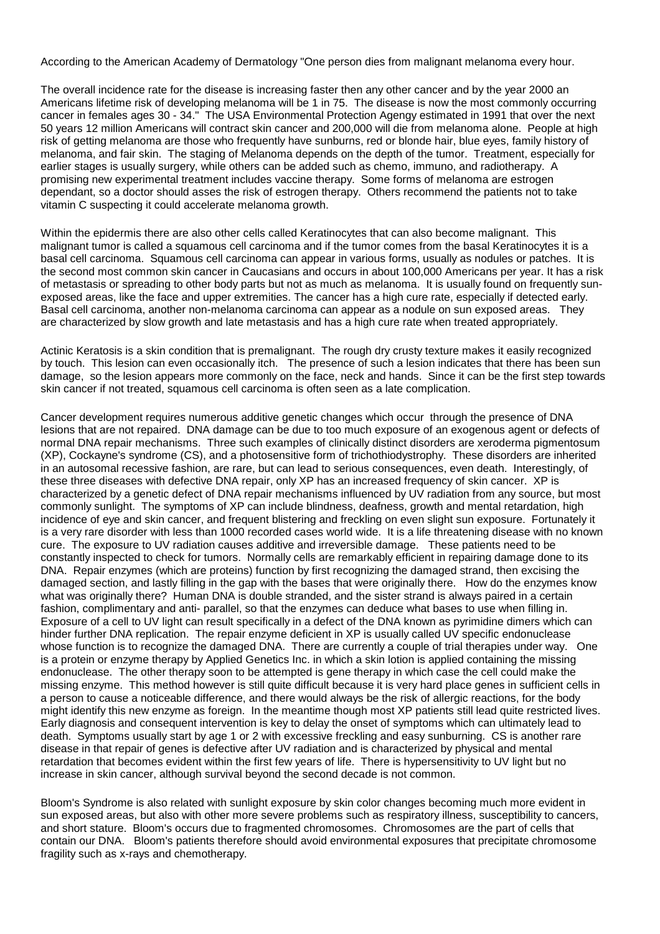According to the American Academy of Dermatology "One person dies from malignant melanoma every hour.

The overall incidence rate for the disease is increasing faster then any other cancer and by the year 2000 an Americans lifetime risk of developing melanoma will be 1 in 75. The disease is now the most commonly occurring cancer in females ages 30 - 34." The USA Environmental Protection Agengy estimated in 1991 that over the next 50 years 12 million Americans will contract skin cancer and 200,000 will die from melanoma alone. People at high risk of getting melanoma are those who frequently have sunburns, red or blonde hair, blue eyes, family history of melanoma, and fair skin. The staging of Melanoma depends on the depth of the tumor. Treatment, especially for earlier stages is usually surgery, while others can be added such as chemo, immuno, and radiotherapy. A promising new experimental treatment includes vaccine therapy. Some forms of melanoma are estrogen dependant, so a doctor should asses the risk of estrogen therapy. Others recommend the patients not to take vitamin C suspecting it could accelerate melanoma growth.

Within the epidermis there are also other cells called Keratinocytes that can also become malignant. This malignant tumor is called a squamous cell carcinoma and if the tumor comes from the basal Keratinocytes it is a basal cell carcinoma. Squamous cell carcinoma can appear in various forms, usually as nodules or patches. It is the second most common skin cancer in Caucasians and occurs in about 100,000 Americans per year. It has a risk of metastasis or spreading to other body parts but not as much as melanoma. It is usually found on frequently sunexposed areas, like the face and upper extremities. The cancer has a high cure rate, especially if detected early. Basal cell carcinoma, another non-melanoma carcinoma can appear as a nodule on sun exposed areas. They are characterized by slow growth and late metastasis and has a high cure rate when treated appropriately.

Actinic Keratosis is a skin condition that is premalignant. The rough dry crusty texture makes it easily recognized by touch. This lesion can even occasionally itch. The presence of such a lesion indicates that there has been sun damage, so the lesion appears more commonly on the face, neck and hands. Since it can be the first step towards skin cancer if not treated, squamous cell carcinoma is often seen as a late complication.

Cancer development requires numerous additive genetic changes which occur through the presence of DNA lesions that are not repaired. DNA damage can be due to too much exposure of an exogenous agent or defects of normal DNA repair mechanisms. Three such examples of clinically distinct disorders are xeroderma pigmentosum (XP), Cockayne's syndrome (CS), and a photosensitive form of trichothiodystrophy. These disorders are inherited in an autosomal recessive fashion, are rare, but can lead to serious consequences, even death. Interestingly, of these three diseases with defective DNA repair, only XP has an increased frequency of skin cancer. XP is characterized by a genetic defect of DNA repair mechanisms influenced by UV radiation from any source, but most commonly sunlight. The symptoms of XP can include blindness, deafness, growth and mental retardation, high incidence of eye and skin cancer, and frequent blistering and freckling on even slight sun exposure. Fortunately it is a very rare disorder with less than 1000 recorded cases world wide. It is a life threatening disease with no known cure. The exposure to UV radiation causes additive and irreversible damage. These patients need to be constantly inspected to check for tumors. Normally cells are remarkably efficient in repairing damage done to its DNA. Repair enzymes (which are proteins) function by first recognizing the damaged strand, then excising the damaged section, and lastly filling in the gap with the bases that were originally there. How do the enzymes know what was originally there? Human DNA is double stranded, and the sister strand is always paired in a certain fashion, complimentary and anti- parallel, so that the enzymes can deduce what bases to use when filling in. Exposure of a cell to UV light can result specifically in a defect of the DNA known as pyrimidine dimers which can hinder further DNA replication. The repair enzyme deficient in XP is usually called UV specific endonuclease whose function is to recognize the damaged DNA. There are currently a couple of trial therapies under way. One is a protein or enzyme therapy by Applied Genetics Inc. in which a skin lotion is applied containing the missing endonuclease. The other therapy soon to be attempted is gene therapy in which case the cell could make the missing enzyme. This method however is still quite difficult because it is very hard place genes in sufficient cells in a person to cause a noticeable difference, and there would always be the risk of allergic reactions, for the body might identify this new enzyme as foreign. In the meantime though most XP patients still lead quite restricted lives. Early diagnosis and consequent intervention is key to delay the onset of symptoms which can ultimately lead to death. Symptoms usually start by age 1 or 2 with excessive freckling and easy sunburning. CS is another rare disease in that repair of genes is defective after UV radiation and is characterized by physical and mental retardation that becomes evident within the first few years of life. There is hypersensitivity to UV light but no increase in skin cancer, although survival beyond the second decade is not common.

Bloom's Syndrome is also related with sunlight exposure by skin color changes becoming much more evident in sun exposed areas, but also with other more severe problems such as respiratory illness, susceptibility to cancers, and short stature. Bloom's occurs due to fragmented chromosomes. Chromosomes are the part of cells that contain our DNA. Bloom's patients therefore should avoid environmental exposures that precipitate chromosome fragility such as x-rays and chemotherapy.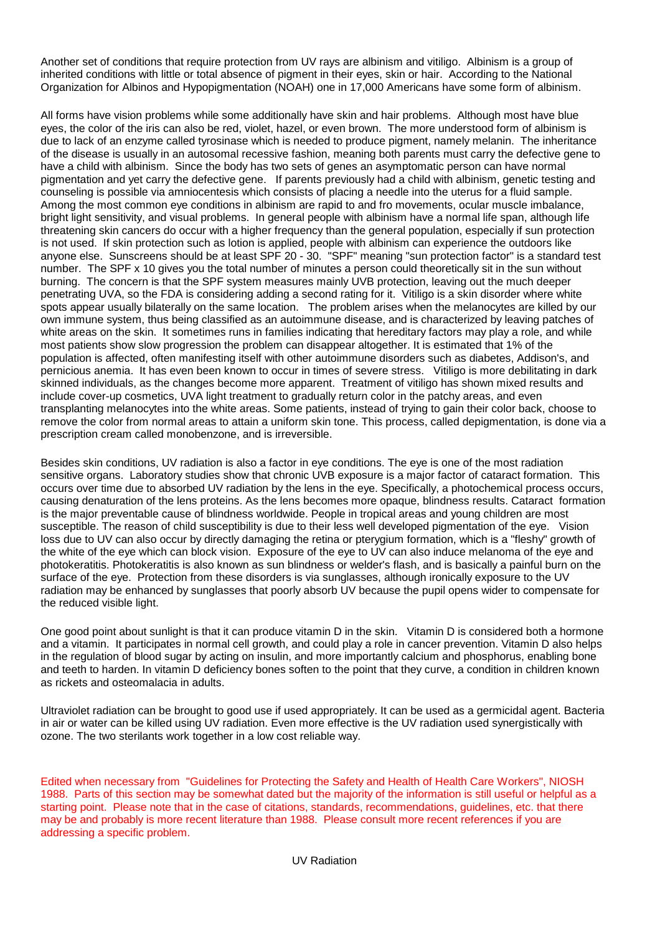Another set of conditions that require protection from UV rays are albinism and vitiligo. Albinism is a group of inherited conditions with little or total absence of pigment in their eyes, skin or hair. According to the National Organization for Albinos and Hypopigmentation (NOAH) one in 17,000 Americans have some form of albinism.

All forms have vision problems while some additionally have skin and hair problems. Although most have blue eyes, the color of the iris can also be red, violet, hazel, or even brown. The more understood form of albinism is due to lack of an enzyme called tyrosinase which is needed to produce pigment, namely melanin. The inheritance of the disease is usually in an autosomal recessive fashion, meaning both parents must carry the defective gene to have a child with albinism. Since the body has two sets of genes an asymptomatic person can have normal pigmentation and yet carry the defective gene. If parents previously had a child with albinism, genetic testing and counseling is possible via amniocentesis which consists of placing a needle into the uterus for a fluid sample. Among the most common eye conditions in albinism are rapid to and fro movements, ocular muscle imbalance, bright light sensitivity, and visual problems. In general people with albinism have a normal life span, although life threatening skin cancers do occur with a higher frequency than the general population, especially if sun protection is not used. If skin protection such as lotion is applied, people with albinism can experience the outdoors like anyone else. Sunscreens should be at least SPF 20 - 30. "SPF" meaning "sun protection factor" is a standard test number. The SPF x 10 gives you the total number of minutes a person could theoretically sit in the sun without burning. The concern is that the SPF system measures mainly UVB protection, leaving out the much deeper penetrating UVA, so the FDA is considering adding a second rating for it. Vitiligo is a skin disorder where white spots appear usually bilaterally on the same location. The problem arises when the melanocytes are killed by our own immune system, thus being classified as an autoimmune disease, and is characterized by leaving patches of white areas on the skin. It sometimes runs in families indicating that hereditary factors may play a role, and while most patients show slow progression the problem can disappear altogether. It is estimated that 1% of the population is affected, often manifesting itself with other autoimmune disorders such as diabetes, Addison's, and pernicious anemia. It has even been known to occur in times of severe stress. Vitiligo is more debilitating in dark skinned individuals, as the changes become more apparent. Treatment of vitiligo has shown mixed results and include cover-up cosmetics, UVA light treatment to gradually return color in the patchy areas, and even transplanting melanocytes into the white areas. Some patients, instead of trying to gain their color back, choose to remove the color from normal areas to attain a uniform skin tone. This process, called depigmentation, is done via a prescription cream called monobenzone, and is irreversible.

Besides skin conditions, UV radiation is also a factor in eye conditions. The eye is one of the most radiation sensitive organs. Laboratory studies show that chronic UVB exposure is a major factor of cataract formation. This occurs over time due to absorbed UV radiation by the lens in the eye. Specifically, a photochemical process occurs, causing denaturation of the lens proteins. As the lens becomes more opaque, blindness results. Cataract formation is the major preventable cause of blindness worldwide. People in tropical areas and young children are most susceptible. The reason of child susceptibility is due to their less well developed pigmentation of the eye. Vision loss due to UV can also occur by directly damaging the retina or pterygium formation, which is a "fleshy" growth of the white of the eye which can block vision. Exposure of the eye to UV can also induce melanoma of the eye and photokeratitis. Photokeratitis is also known as sun blindness or welder's flash, and is basically a painful burn on the surface of the eye. Protection from these disorders is via sunglasses, although ironically exposure to the UV radiation may be enhanced by sunglasses that poorly absorb UV because the pupil opens wider to compensate for the reduced visible light.

One good point about sunlight is that it can produce vitamin D in the skin. Vitamin D is considered both a hormone and a vitamin. It participates in normal cell growth, and could play a role in cancer prevention. Vitamin D also helps in the regulation of blood sugar by acting on insulin, and more importantly calcium and phosphorus, enabling bone and teeth to harden. In vitamin D deficiency bones soften to the point that they curve, a condition in children known as rickets and osteomalacia in adults.

Ultraviolet radiation can be brought to good use if used appropriately. It can be used as a germicidal agent. Bacteria in air or water can be killed using UV radiation. Even more effective is the UV radiation used synergistically with ozone. The two sterilants work together in a low cost reliable way.

Edited when necessary from "Guidelines for Protecting the Safety and Health of Health Care Workers", NIOSH 1988. Parts of this section may be somewhat dated but the majority of the information is still useful or helpful as a starting point. Please note that in the case of citations, standards, recommendations, guidelines, etc. that there may be and probably is more recent literature than 1988. Please consult more recent references if you are addressing a specific problem.